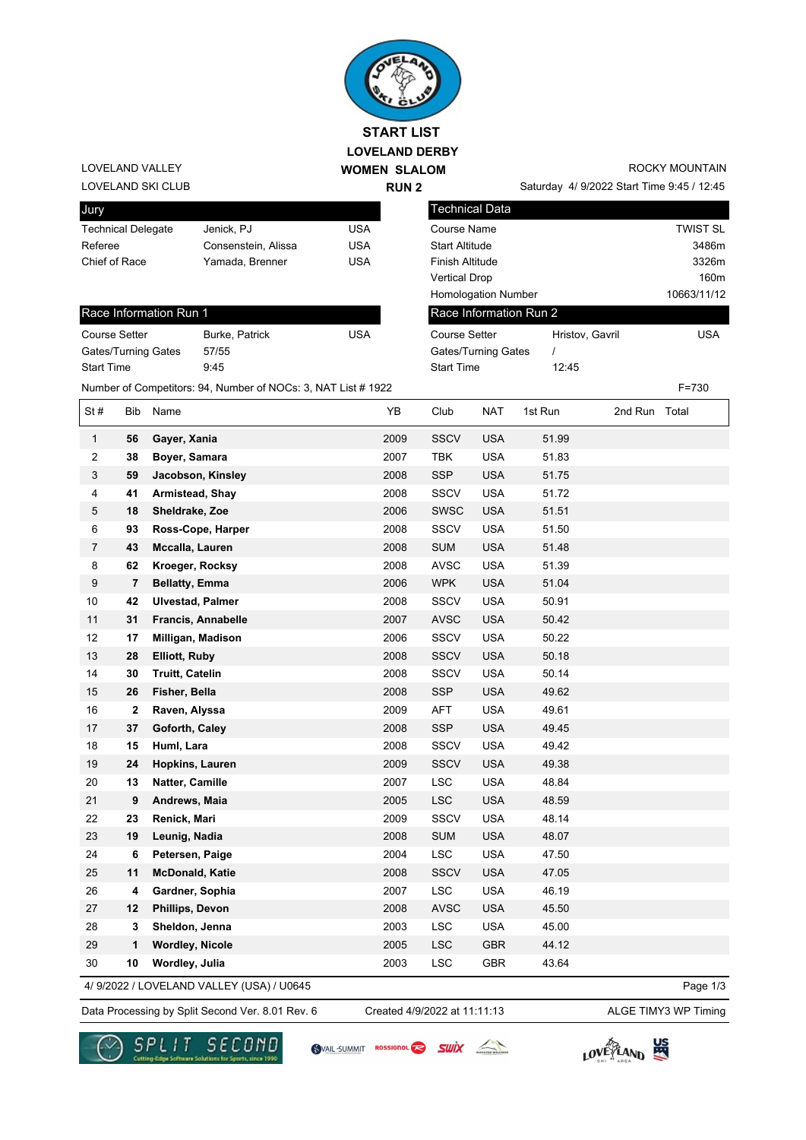

## LOVELAND SKI CLUB LOVELAND VALLEY

| Jury                      |                     |     |
|---------------------------|---------------------|-----|
| <b>Technical Delegate</b> | Jenick, PJ          | USA |
| Referee                   | Consenstein, Alissa | USA |
| Chief of Race             | Yamada, Brenner     | USA |
|                           |                     |     |

## Race Information Run 1

| <b>Course Setter</b>       | <b>Burke, Patrick</b> | USA |
|----------------------------|-----------------------|-----|
| <b>Gates/Turning Gates</b> | 57/55                 |     |
| <b>Start Time</b>          | 9:45                  |     |

ROCKY MOUNTAIN

Saturday 4/ 9/2022 Start Time 9:45 / 12:45

| Technical Data             |                 |                 |
|----------------------------|-----------------|-----------------|
| Course Name                |                 | <b>TWIST SL</b> |
| <b>Start Altitude</b>      |                 | 3486m           |
| <b>Finish Altitude</b>     |                 | 3326m           |
| <b>Vertical Drop</b>       |                 | 160m            |
| <b>Homologation Number</b> |                 | 10663/11/12     |
| Race Information Run 2     |                 |                 |
| Course Setter              | Hristov, Gavril | USA             |
| Gates/Turning Gates        |                 |                 |
| <b>Start Time</b>          | 12:45           |                 |

Number of Competitors: 94, Number of NOCs: 3, NAT List # 1922 F=730

| St#            | Bib            | Name                                      | YB   | Club        | <b>NAT</b> | 1st Run | 2nd Run Total |          |
|----------------|----------------|-------------------------------------------|------|-------------|------------|---------|---------------|----------|
| $\mathbf{1}$   | 56             | Gayer, Xania                              | 2009 | <b>SSCV</b> | <b>USA</b> | 51.99   |               |          |
| $\overline{c}$ | 38             | Boyer, Samara                             | 2007 | <b>TBK</b>  | <b>USA</b> | 51.83   |               |          |
| $\sqrt{3}$     | 59             | Jacobson, Kinsley                         | 2008 | <b>SSP</b>  | <b>USA</b> | 51.75   |               |          |
| 4              | 41             | Armistead, Shay                           | 2008 | <b>SSCV</b> | <b>USA</b> | 51.72   |               |          |
| 5              | 18             | Sheldrake, Zoe                            | 2006 | <b>SWSC</b> | <b>USA</b> | 51.51   |               |          |
| 6              | 93             | Ross-Cope, Harper                         | 2008 | SSCV        | <b>USA</b> | 51.50   |               |          |
| $\overline{7}$ | 43             | Mccalla, Lauren                           | 2008 | <b>SUM</b>  | <b>USA</b> | 51.48   |               |          |
| 8              | 62             | Kroeger, Rocksy                           | 2008 | <b>AVSC</b> | <b>USA</b> | 51.39   |               |          |
| 9              | $\overline{7}$ | <b>Bellatty, Emma</b>                     | 2006 | <b>WPK</b>  | <b>USA</b> | 51.04   |               |          |
| 10             | 42             | <b>Ulvestad, Palmer</b>                   | 2008 | SSCV        | <b>USA</b> | 50.91   |               |          |
| 11             | 31             | Francis, Annabelle                        | 2007 | <b>AVSC</b> | <b>USA</b> | 50.42   |               |          |
| 12             | 17             | Milligan, Madison                         | 2006 | SSCV        | <b>USA</b> | 50.22   |               |          |
| 13             | 28             | Elliott, Ruby                             | 2008 | <b>SSCV</b> | <b>USA</b> | 50.18   |               |          |
| 14             | 30             | <b>Truitt, Catelin</b>                    | 2008 | SSCV        | <b>USA</b> | 50.14   |               |          |
| 15             | 26             | Fisher, Bella                             | 2008 | <b>SSP</b>  | <b>USA</b> | 49.62   |               |          |
| 16             | $\mathbf{2}$   | Raven, Alyssa                             | 2009 | AFT         | <b>USA</b> | 49.61   |               |          |
| 17             | 37             | Goforth, Caley                            | 2008 | <b>SSP</b>  | <b>USA</b> | 49.45   |               |          |
| 18             | 15             | Huml, Lara                                | 2008 | <b>SSCV</b> | <b>USA</b> | 49.42   |               |          |
| 19             | 24             | Hopkins, Lauren                           | 2009 | <b>SSCV</b> | <b>USA</b> | 49.38   |               |          |
| 20             | 13             | <b>Natter, Camille</b>                    | 2007 | <b>LSC</b>  | <b>USA</b> | 48.84   |               |          |
| 21             | 9              | Andrews, Maia                             | 2005 | <b>LSC</b>  | <b>USA</b> | 48.59   |               |          |
| 22             | 23             | Renick, Mari                              | 2009 | <b>SSCV</b> | <b>USA</b> | 48.14   |               |          |
| 23             | 19             | Leunig, Nadia                             | 2008 | <b>SUM</b>  | <b>USA</b> | 48.07   |               |          |
| 24             | 6              | Petersen, Paige                           | 2004 | <b>LSC</b>  | <b>USA</b> | 47.50   |               |          |
| 25             | 11             | <b>McDonald, Katie</b>                    | 2008 | <b>SSCV</b> | <b>USA</b> | 47.05   |               |          |
| 26             | 4              | Gardner, Sophia                           | 2007 | <b>LSC</b>  | <b>USA</b> | 46.19   |               |          |
| 27             | 12             | Phillips, Devon                           | 2008 | <b>AVSC</b> | <b>USA</b> | 45.50   |               |          |
| 28             | 3              | Sheldon, Jenna                            | 2003 | <b>LSC</b>  | <b>USA</b> | 45.00   |               |          |
| 29             | 1              | <b>Wordley, Nicole</b>                    | 2005 | <b>LSC</b>  | <b>GBR</b> | 44.12   |               |          |
| 30             | 10             | Wordley, Julia                            | 2003 | <b>LSC</b>  | <b>GBR</b> | 43.64   |               |          |
|                |                | 4/ 9/2022 / LOVELAND VALLEY (USA) / U0645 |      |             |            |         |               | Page 1/3 |

4/ 9/2022 / LOVELAND VALLEY (USA) / U0645

Data Processing by Split Second Ver. 8.01 Rev. 6 Created 4/9/2022 at 11:11:13 ALGE TIMY3 WP Timing Created 4/9/2022 at 11:11:13



SVAIL-SUMMIT ROSSIGNOL SWIX



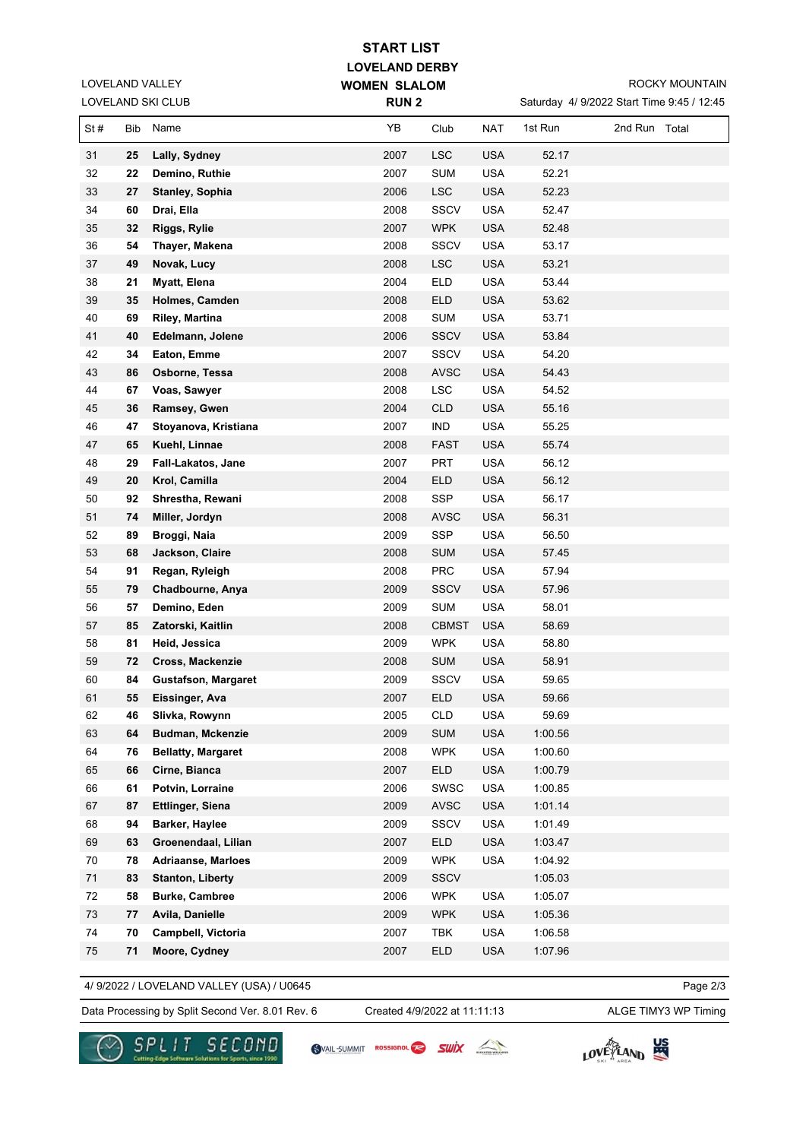| <b>START LIST</b> |  |
|-------------------|--|
|-------------------|--|

**LOVELAND DERBY WOMEN SLALOM** 

ROCKY MOUNTAIN

|     |     | LOVELAND SKI CLUB          | <b>RUN2</b> |              |            | Saturday 4/ 9/2022 Start Time 9:45 / 12:45 |               |  |
|-----|-----|----------------------------|-------------|--------------|------------|--------------------------------------------|---------------|--|
| St# | Bib | Name                       | YB          | Club         | <b>NAT</b> | 1st Run                                    | 2nd Run Total |  |
| 31  | 25  | Lally, Sydney              | 2007        | <b>LSC</b>   | <b>USA</b> | 52.17                                      |               |  |
| 32  | 22  | Demino, Ruthie             | 2007        | <b>SUM</b>   | <b>USA</b> | 52.21                                      |               |  |
| 33  | 27  | <b>Stanley, Sophia</b>     | 2006        | <b>LSC</b>   | <b>USA</b> | 52.23                                      |               |  |
| 34  | 60  | Drai, Ella                 | 2008        | <b>SSCV</b>  | <b>USA</b> | 52.47                                      |               |  |
| 35  | 32  | Riggs, Rylie               | 2007        | <b>WPK</b>   | <b>USA</b> | 52.48                                      |               |  |
| 36  | 54  | Thayer, Makena             | 2008        | <b>SSCV</b>  | <b>USA</b> | 53.17                                      |               |  |
| 37  | 49  | Novak, Lucy                | 2008        | <b>LSC</b>   | <b>USA</b> | 53.21                                      |               |  |
| 38  | 21  | Myatt, Elena               | 2004        | <b>ELD</b>   | <b>USA</b> | 53.44                                      |               |  |
| 39  | 35  | Holmes, Camden             | 2008        | <b>ELD</b>   | <b>USA</b> | 53.62                                      |               |  |
| 40  | 69  | <b>Riley, Martina</b>      | 2008        | <b>SUM</b>   | <b>USA</b> | 53.71                                      |               |  |
| 41  | 40  | Edelmann, Jolene           | 2006        | <b>SSCV</b>  | <b>USA</b> | 53.84                                      |               |  |
| 42  | 34  | Eaton, Emme                | 2007        | <b>SSCV</b>  | <b>USA</b> | 54.20                                      |               |  |
| 43  | 86  | Osborne, Tessa             | 2008        | <b>AVSC</b>  | <b>USA</b> | 54.43                                      |               |  |
| 44  | 67  | Voas, Sawyer               | 2008        | LSC          | <b>USA</b> | 54.52                                      |               |  |
| 45  | 36  | Ramsey, Gwen               | 2004        | <b>CLD</b>   | <b>USA</b> | 55.16                                      |               |  |
| 46  | 47  | Stoyanova, Kristiana       | 2007        | <b>IND</b>   | <b>USA</b> | 55.25                                      |               |  |
| 47  | 65  | Kuehl, Linnae              | 2008        | <b>FAST</b>  | <b>USA</b> | 55.74                                      |               |  |
| 48  | 29  | Fall-Lakatos, Jane         | 2007        | <b>PRT</b>   | <b>USA</b> | 56.12                                      |               |  |
| 49  | 20  | Krol, Camilla              | 2004        | <b>ELD</b>   | <b>USA</b> | 56.12                                      |               |  |
| 50  | 92  | Shrestha, Rewani           | 2008        | SSP          | <b>USA</b> | 56.17                                      |               |  |
| 51  | 74  | Miller, Jordyn             | 2008        | <b>AVSC</b>  | <b>USA</b> | 56.31                                      |               |  |
| 52  | 89  | Broggi, Naia               | 2009        | <b>SSP</b>   | <b>USA</b> | 56.50                                      |               |  |
| 53  | 68  | Jackson, Claire            | 2008        | <b>SUM</b>   | <b>USA</b> | 57.45                                      |               |  |
| 54  | 91  | Regan, Ryleigh             | 2008        | <b>PRC</b>   | <b>USA</b> | 57.94                                      |               |  |
| 55  | 79  | Chadbourne, Anya           | 2009        | <b>SSCV</b>  | <b>USA</b> | 57.96                                      |               |  |
| 56  | 57  | Demino, Eden               | 2009        | <b>SUM</b>   | <b>USA</b> | 58.01                                      |               |  |
| 57  | 85  | Zatorski, Kaitlin          | 2008        | <b>CBMST</b> | <b>USA</b> | 58.69                                      |               |  |
| 58  | 81  | Heid, Jessica              | 2009        | <b>WPK</b>   | <b>USA</b> | 58.80                                      |               |  |
| 59  | 72  | Cross, Mackenzie           | 2008        | <b>SUM</b>   | <b>USA</b> | 58.91                                      |               |  |
| 60  | 84  | <b>Gustafson, Margaret</b> | 2009        | <b>SSCV</b>  | <b>USA</b> | 59.65                                      |               |  |
| 61  | 55  | Eissinger, Ava             | 2007        | ELD.         | <b>USA</b> | 59.66                                      |               |  |
| 62  | 46  | Slivka, Rowynn             | 2005        | <b>CLD</b>   | <b>USA</b> | 59.69                                      |               |  |
| 63  | 64  | <b>Budman, Mckenzie</b>    | 2009        | <b>SUM</b>   | <b>USA</b> | 1:00.56                                    |               |  |
| 64  | 76  | <b>Bellatty, Margaret</b>  | 2008        | <b>WPK</b>   | <b>USA</b> | 1:00.60                                    |               |  |
| 65  | 66  | Cirne, Bianca              | 2007        | <b>ELD</b>   | <b>USA</b> | 1:00.79                                    |               |  |
| 66  | 61  | Potvin, Lorraine           | 2006        | SWSC         | <b>USA</b> | 1:00.85                                    |               |  |
| 67  | 87  | <b>Ettlinger, Siena</b>    | 2009        | <b>AVSC</b>  | <b>USA</b> | 1:01.14                                    |               |  |
| 68  | 94  | Barker, Haylee             | 2009        | <b>SSCV</b>  | <b>USA</b> | 1:01.49                                    |               |  |
| 69  | 63  | Groenendaal, Lilian        | 2007        | <b>ELD</b>   | <b>USA</b> | 1:03.47                                    |               |  |
| 70  | 78  | <b>Adriaanse, Marloes</b>  | 2009        | <b>WPK</b>   | <b>USA</b> | 1:04.92                                    |               |  |
| 71  | 83  | <b>Stanton, Liberty</b>    | 2009        | <b>SSCV</b>  |            | 1:05.03                                    |               |  |
| 72  | 58  | <b>Burke, Cambree</b>      | 2006        | <b>WPK</b>   | <b>USA</b> | 1:05.07                                    |               |  |
| 73  | 77  | Avila, Danielle            | 2009        | <b>WPK</b>   | <b>USA</b> | 1:05.36                                    |               |  |
| 74  | 70  | Campbell, Victoria         | 2007        | <b>TBK</b>   | <b>USA</b> | 1:06.58                                    |               |  |
| 75  | 71  | Moore, Cydney              | 2007        | <b>ELD</b>   | <b>USA</b> | 1:07.96                                    |               |  |

4/ 9/2022 / LOVELAND VALLEY (USA) / U0645

Page 2/3

Data Processing by Split Second Ver. 8.01 Rev. 6 Created 4/9/2022 at 11:11:13 ALGE TIMY3 WP Timing

Created 4/9/2022 at 11:11:13



LOVELAND VALLEY

SVAIL-SUMMIT ROSSIGNOL SWIX